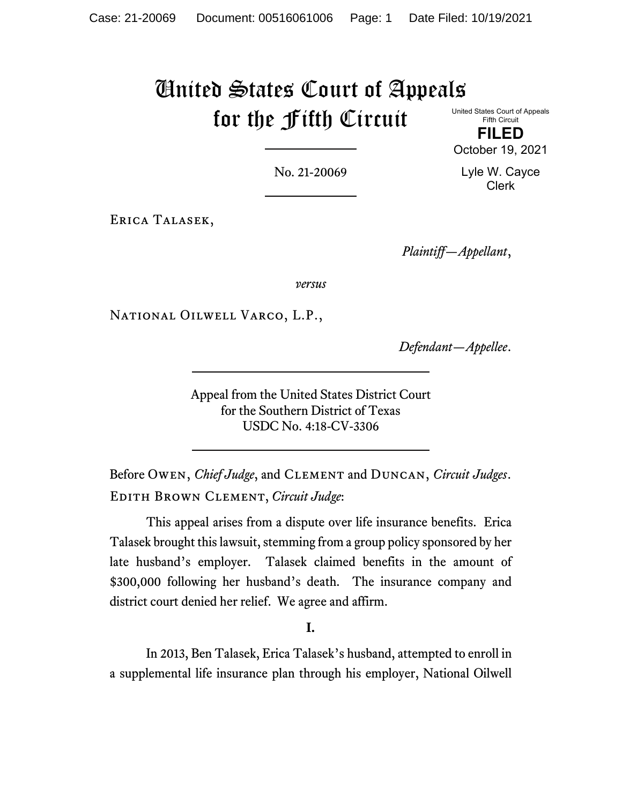# United States Court of Appeals for the Fifth Circuit United States Court of Appeals

Fifth Circuit **FILED**

No. 21-20069

Lyle W. Cayce Clerk

October 19, 2021

Erica Talasek,

*Plaintiff—Appellant*,

*versus*

National Oilwell Varco, L.P.,

*Defendant—Appellee*.

Appeal from the United States District Court for the Southern District of Texas USDC No. 4:18-CV-3306

Before Owen, *Chief Judge*, and Clement and Duncan, *Circuit Judges*. Edith Brown Clement, *Circuit Judge*:

This appeal arises from a dispute over life insurance benefits. Erica Talasek brought this lawsuit, stemming from a group policy sponsored by her late husband's employer. Talasek claimed benefits in the amount of \$300,000 following her husband's death. The insurance company and district court denied her relief. We agree and affirm.

**I.**

In 2013, Ben Talasek, Erica Talasek's husband, attempted to enroll in a supplemental life insurance plan through his employer, National Oilwell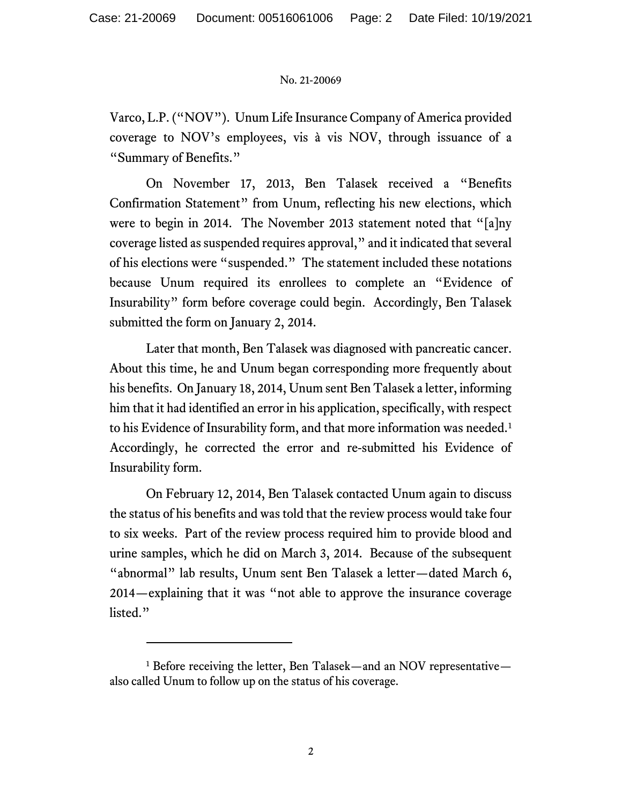Varco, L.P. ("NOV"). Unum Life Insurance Company of America provided coverage to NOV's employees, vis à vis NOV, through issuance of a "Summary of Benefits."

On November 17, 2013, Ben Talasek received a "Benefits Confirmation Statement" from Unum, reflecting his new elections, which were to begin in 2014. The November 2013 statement noted that "[a]ny coverage listed as suspended requires approval," and it indicated that several of his elections were "suspended." The statement included these notations because Unum required its enrollees to complete an "Evidence of Insurability" form before coverage could begin. Accordingly, Ben Talasek submitted the form on January 2, 2014.

Later that month, Ben Talasek was diagnosed with pancreatic cancer. About this time, he and Unum began corresponding more frequently about his benefits. On January 18, 2014, Unum sent Ben Talasek a letter, informing him that it had identified an error in his application, specifically, with respect to his Evidence of Insurability form, and that more information was needed. $1$ Accordingly, he corrected the error and re-submitted his Evidence of Insurability form.

On February 12, 2014, Ben Talasek contacted Unum again to discuss the status of his benefits and was told that the review process would take four to six weeks. Part of the review process required him to provide blood and urine samples, which he did on March 3, 2014. Because of the subsequent "abnormal" lab results, Unum sent Ben Talasek a letter—dated March 6, 2014—explaining that it was "not able to approve the insurance coverage listed."

<sup>1</sup> Before receiving the letter, Ben Talasek—and an NOV representative also called Unum to follow up on the status of his coverage.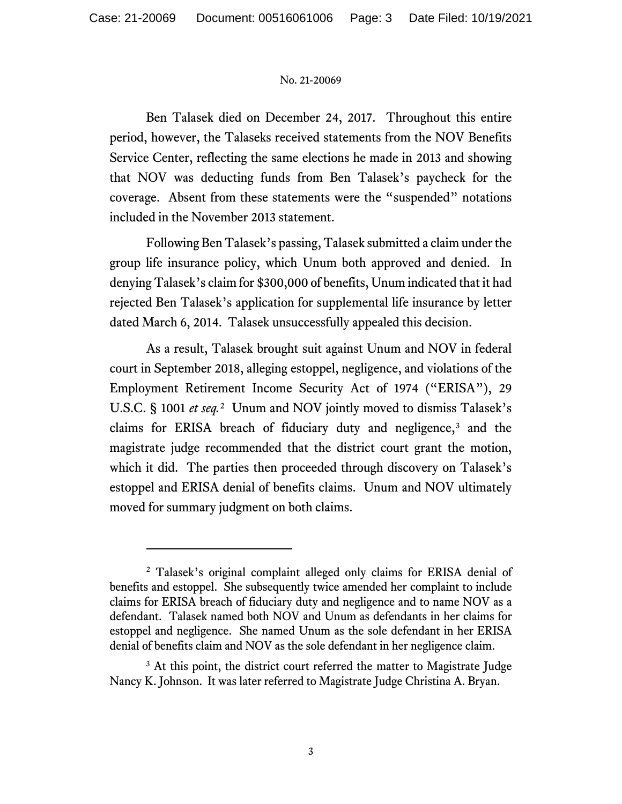Ben Talasek died on December 24, 2017. Throughout this entire period, however, the Talaseks received statements from the NOV Benefits Service Center, reflecting the same elections he made in 2013 and showing that NOV was deducting funds from Ben Talasek's paycheck for the coverage. Absent from these statements were the "suspended" notations included in the November 2013 statement.

Following Ben Talasek's passing, Talasek submitted a claim under the group life insurance policy, which Unum both approved and denied. In denying Talasek's claim for \$300,000 of benefits, Unum indicated that it had rejected Ben Talasek's application for supplemental life insurance by letter dated March 6, 2014. Talasek unsuccessfully appealed this decision.

As a result, Talasek brought suit against Unum and NOV in federal court in September 2018, alleging estoppel, negligence, and violations of the Employment Retirement Income Security Act of 1974 ("ERISA"), 29 U.S.C. § 1001 *et seq.*[2](#page-6-0) Unum and NOV jointly moved to dismiss Talasek's claims for ERISA breach of fiduciary duty and negligence,<sup>[3](#page-6-0)</sup> and the magistrate judge recommended that the district court grant the motion, which it did. The parties then proceeded through discovery on Talasek's estoppel and ERISA denial of benefits claims. Unum and NOV ultimately moved for summary judgment on both claims.

<sup>2</sup> Talasek's original complaint alleged only claims for ERISA denial of benefits and estoppel. She subsequently twice amended her complaint to include claims for ERISA breach of fiduciary duty and negligence and to name NOV as a defendant. Talasek named both NOV and Unum as defendants in her claims for estoppel and negligence. She named Unum as the sole defendant in her ERISA denial of benefits claim and NOV as the sole defendant in her negligence claim.

<sup>&</sup>lt;sup>3</sup> At this point, the district court referred the matter to Magistrate Judge Nancy K. Johnson. It was later referred to Magistrate Judge Christina A. Bryan.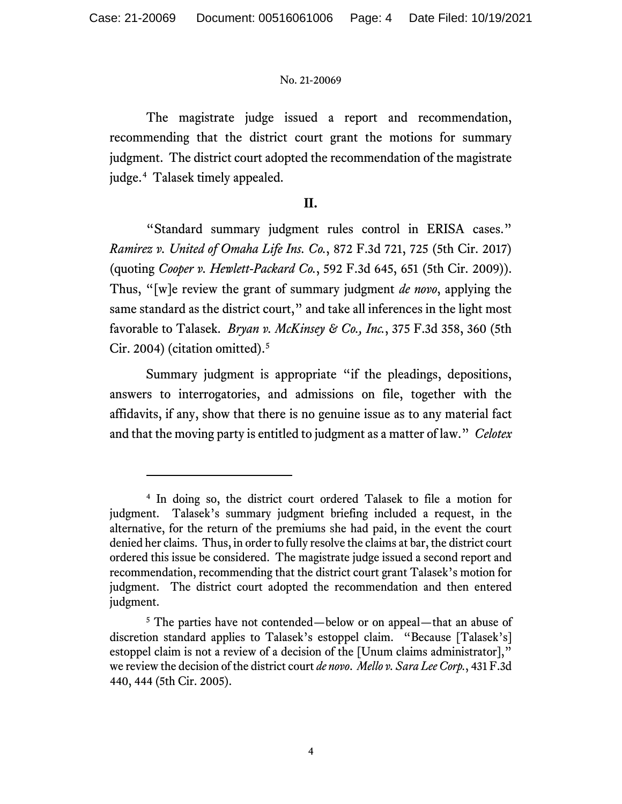The magistrate judge issued a report and recommendation, recommending that the district court grant the motions for summary judgment. The district court adopted the recommendation of the magistrate judge.[4](#page-6-0) Talasek timely appealed.

# **II.**

"Standard summary judgment rules control in ERISA cases." *Ramirez v. United of Omaha Life Ins. Co.*, 872 F.3d 721, 725 (5th Cir. 2017) (quoting *Cooper v. Hewlett-Packard Co.*, 592 F.3d 645, 651 (5th Cir. 2009)). Thus, "[w]e review the grant of summary judgment *de novo*, applying the same standard as the district court," and take all inferences in the light most favorable to Talasek. *Bryan v. McKinsey & Co., Inc.*, 375 F.3d 358, 360 (5th Cir. 2004) (citation omitted). [5](#page-6-0)

Summary judgment is appropriate "if the pleadings, depositions, answers to interrogatories, and admissions on file, together with the affidavits, if any, show that there is no genuine issue as to any material fact and that the moving party is entitled to judgment as a matter of law." *Celotex*

<sup>4</sup> In doing so, the district court ordered Talasek to file a motion for judgment. Talasek's summary judgment briefing included a request, in the alternative, for the return of the premiums she had paid, in the event the court denied her claims. Thus, in order to fully resolve the claims at bar, the district court ordered this issue be considered. The magistrate judge issued a second report and recommendation, recommending that the district court grant Talasek's motion for judgment. The district court adopted the recommendation and then entered judgment.

<sup>&</sup>lt;sup>5</sup> The parties have not contended—below or on appeal—that an abuse of discretion standard applies to Talasek's estoppel claim. "Because [Talasek's] estoppel claim is not a review of a decision of the [Unum claims administrator]," we review the decision of the district court *de novo*. *Mello v. Sara Lee Corp.*, 431 F.3d 440, 444 (5th Cir. 2005).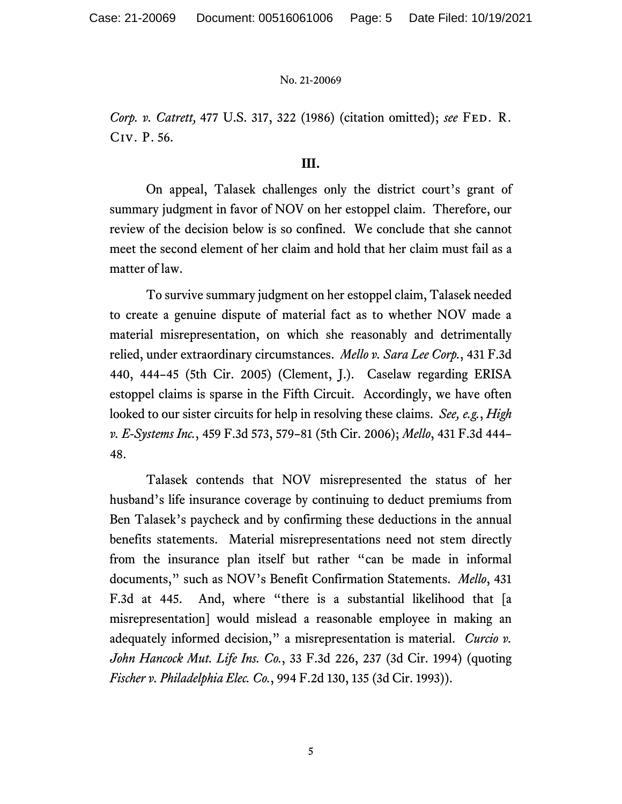*Corp. v. Catrett,* 477 U.S. 317, 322 (1986) (citation omitted); *see* Fed. R. Civ. P. 56.

## **III.**

On appeal, Talasek challenges only the district court's grant of summary judgment in favor of NOV on her estoppel claim. Therefore, our review of the decision below is so confined. We conclude that she cannot meet the second element of her claim and hold that her claim must fail as a matter of law.

To survive summary judgment on her estoppel claim, Talasek needed to create a genuine dispute of material fact as to whether NOV made a material misrepresentation, on which she reasonably and detrimentally relied, under extraordinary circumstances. *Mello v. Sara Lee Corp.*, 431 F.3d 440, 444–45 (5th Cir. 2005) (Clement, J.). Caselaw regarding ERISA estoppel claims is sparse in the Fifth Circuit. Accordingly, we have often looked to our sister circuits for help in resolving these claims. *See, e.g.*, *High v. E-Systems Inc.*, 459 F.3d 573, 579–81 (5th Cir. 2006); *Mello*, 431 F.3d 444– 48.

Talasek contends that NOV misrepresented the status of her husband's life insurance coverage by continuing to deduct premiums from Ben Talasek's paycheck and by confirming these deductions in the annual benefits statements. Material misrepresentations need not stem directly from the insurance plan itself but rather "can be made in informal documents," such as NOV's Benefit Confirmation Statements. *Mello*, 431 F.3d at 445. And, where "there is a substantial likelihood that [a misrepresentation] would mislead a reasonable employee in making an adequately informed decision," a misrepresentation is material. *Curcio v. John Hancock Mut. Life Ins. Co.*, 33 F.3d 226, 237 (3d Cir. 1994) (quoting *Fischer v. Philadelphia Elec. Co.*, 994 F.2d 130, 135 (3d Cir. 1993)).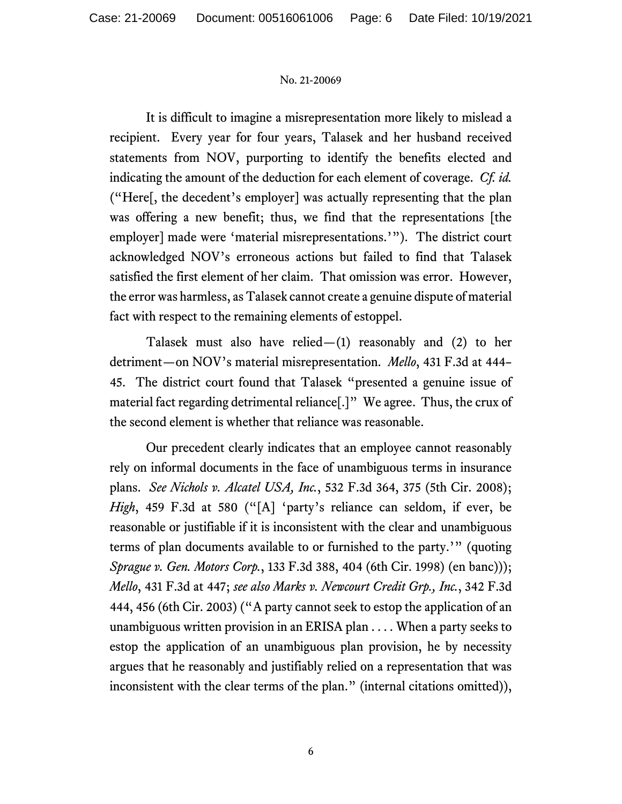It is difficult to imagine a misrepresentation more likely to mislead a recipient. Every year for four years, Talasek and her husband received statements from NOV, purporting to identify the benefits elected and indicating the amount of the deduction for each element of coverage. *Cf. id.* ("Here[, the decedent's employer] was actually representing that the plan was offering a new benefit; thus, we find that the representations [the employer] made were 'material misrepresentations.'"). The district court acknowledged NOV's erroneous actions but failed to find that Talasek satisfied the first element of her claim. That omission was error. However, the error was harmless, as Talasek cannot create a genuine dispute of material fact with respect to the remaining elements of estoppel.

Talasek must also have relied— $(1)$  reasonably and  $(2)$  to her detriment—on NOV's material misrepresentation. *Mello*, 431 F.3d at 444– 45. The district court found that Talasek "presented a genuine issue of material fact regarding detrimental reliance[.]" We agree. Thus, the crux of the second element is whether that reliance was reasonable.

Our precedent clearly indicates that an employee cannot reasonably rely on informal documents in the face of unambiguous terms in insurance plans. *See Nichols v. Alcatel USA, Inc.*, 532 F.3d 364, 375 (5th Cir. 2008); *High*, 459 F.3d at 580 ("[A] 'party's reliance can seldom, if ever, be reasonable or justifiable if it is inconsistent with the clear and unambiguous terms of plan documents available to or furnished to the party.'" (quoting *Sprague v. Gen. Motors Corp.*, 133 F.3d 388, 404 (6th Cir. 1998) (en banc))); *Mello*, 431 F.3d at 447; *see also Marks v. Newcourt Credit Grp., Inc.*, 342 F.3d 444, 456 (6th Cir. 2003) ("A party cannot seek to estop the application of an unambiguous written provision in an ERISA plan . . . . When a party seeks to estop the application of an unambiguous plan provision, he by necessity argues that he reasonably and justifiably relied on a representation that was inconsistent with the clear terms of the plan." (internal citations omitted)),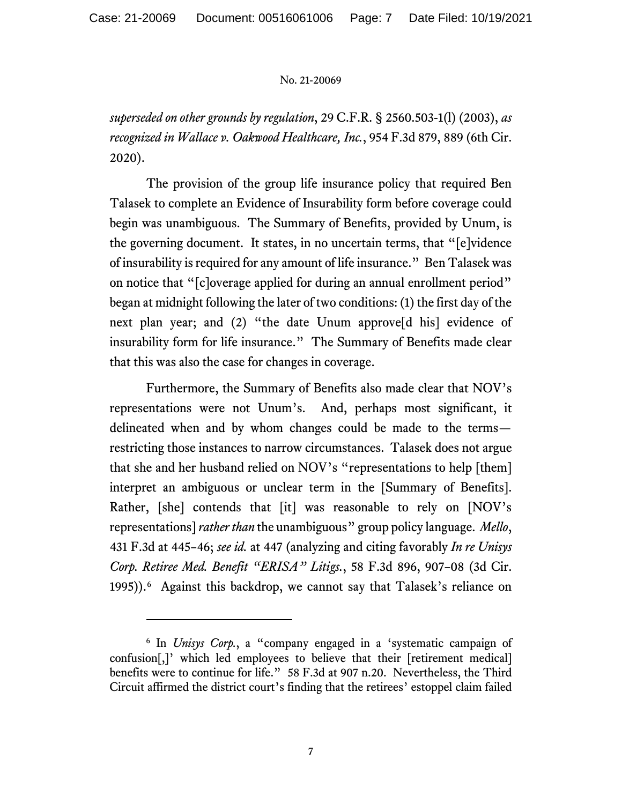*superseded on other grounds by regulation*, 29 C.F.R. § 2560.503-1(l) (2003), *as recognized in Wallace v. Oakwood Healthcare, Inc.*, 954 F.3d 879, 889 (6th Cir. 2020).

The provision of the group life insurance policy that required Ben Talasek to complete an Evidence of Insurability form before coverage could begin was unambiguous. The Summary of Benefits, provided by Unum, is the governing document. It states, in no uncertain terms, that "[e]vidence of insurability is required for any amount of life insurance." Ben Talasek was on notice that "[c]overage applied for during an annual enrollment period" began at midnight following the later of two conditions: (1) the first day of the next plan year; and (2) "the date Unum approve[d his] evidence of insurability form for life insurance." The Summary of Benefits made clear that this was also the case for changes in coverage.

Furthermore, the Summary of Benefits also made clear that NOV's representations were not Unum's. And, perhaps most significant, it delineated when and by whom changes could be made to the terms restricting those instances to narrow circumstances. Talasek does not argue that she and her husband relied on NOV's "representations to help [them] interpret an ambiguous or unclear term in the [Summary of Benefits]. Rather, [she] contends that [it] was reasonable to rely on [NOV's representations] *rather than* the unambiguous" group policy language. *Mello*, 431 F.3d at 445–46; *see id.* at 447 (analyzing and citing favorably *In re Unisys Corp. Retiree Med. Benefit "ERISA" Litigs.*, 58 F.3d 896, 907–08 (3d Cir. 1995)).[6](#page-6-0) Against this backdrop, we cannot say that Talasek's reliance on

<span id="page-6-0"></span><sup>6</sup> In *Unisys Corp.*, a "company engaged in a 'systematic campaign of confusion[,]' which led employees to believe that their [retirement medical] benefits were to continue for life." 58 F.3d at 907 n.20. Nevertheless, the Third Circuit affirmed the district court's finding that the retirees' estoppel claim failed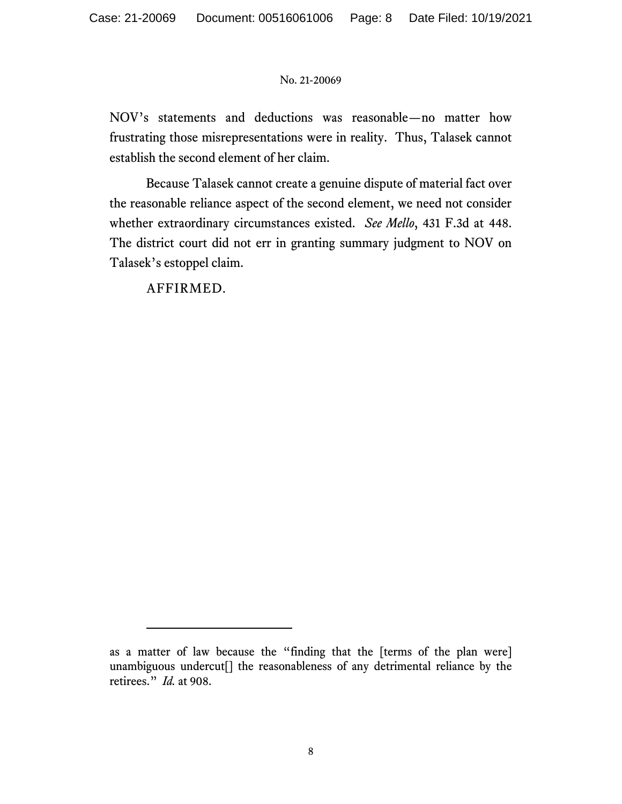NOV's statements and deductions was reasonable—no matter how frustrating those misrepresentations were in reality. Thus, Talasek cannot establish the second element of her claim.

Because Talasek cannot create a genuine dispute of material fact over the reasonable reliance aspect of the second element, we need not consider whether extraordinary circumstances existed. *See Mello*, 431 F.3d at 448. The district court did not err in granting summary judgment to NOV on Talasek's estoppel claim.

AFFIRMED.

as a matter of law because the "finding that the [terms of the plan were] unambiguous undercut[] the reasonableness of any detrimental reliance by the retirees." *Id.* at 908.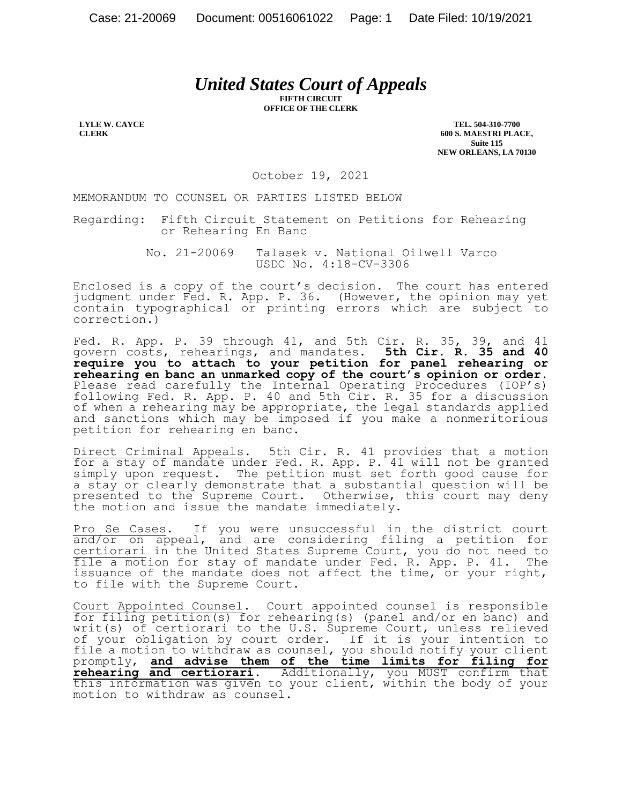# *United States Court of Appeals*

**FIFTH CIRCUIT OFFICE OF THE CLERK**

**LYLE W. CAYCE CLERK**

**TEL. 504-310-7700 600 S. MAESTRI PLACE, Suite 115 NEW ORLEANS, LA 70130**

October 19, 2021

MEMORANDUM TO COUNSEL OR PARTIES LISTED BELOW

Regarding: Fifth Circuit Statement on Petitions for Rehearing or Rehearing En Banc

> No. 21-20069 Talasek v. National Oilwell Varco USDC No. 4:18-CV-3306

Enclosed is a copy of the court's decision. The court has entered judgment under Fed. R. App. P. 36. (However, the opinion may yet contain typographical or printing errors which are subject to correction.)

Fed. R. App. P. 39 through 41, and 5th Cir. R. 35, 39, and 41 govern costs, rehearings, and mandates. **5th Cir. R. 35 and 40 require you to attach to your petition for panel rehearing or rehearing en banc an unmarked copy of the court's opinion or order.** Please read carefully the Internal Operating Procedures (IOP's) following Fed. R. App. P. 40 and 5th Cir. R. 35 for a discussion of when a rehearing may be appropriate, the legal standards applied and sanctions which may be imposed if you make a nonmeritorious petition for rehearing en banc.

Direct Criminal Appeals. 5th Cir. R. 41 provides that a motion for a stay of mandate under Fed. R. App. P. 41 will not be granted simply upon request. The petition must set forth good cause for a stay or clearly demonstrate that a substantial question will be presented to the Supreme Court. Otherwise, this court may deny the motion and issue the mandate immediately.

Pro Se Cases. If you were unsuccessful in the district court and/or on appeal, and are considering filing a petition for certiorari in the United States Supreme Court, you do not need to file a motion for stay of mandate under Fed. R. App. P. 41. The issuance of the mandate does not affect the time, or your right, to file with the Supreme Court.

Court Appointed Counsel. Court appointed counsel is responsible for filing petition(s) for rehearing(s) (panel and/or en banc) and writ(s) of certiorari to the U.S. Supreme Court, unless relieved of your obligation by court order. If it is your intention to file a motion to withdraw as counsel, you should notify your client promptly, **and advise them of the time limits for filing for rehearing and certiorari**. Additionally, you MUST confirm that this information was given to your client, within the body of your motion to withdraw as counsel.